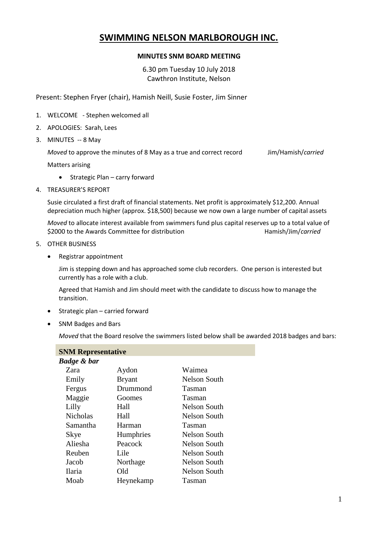# **SWIMMING NELSON MARLBOROUGH INC.**

## **MINUTES SNM BOARD MEETING**

6.30 pm Tuesday 10 July 2018 Cawthron Institute, Nelson

Present: Stephen Fryer (chair), Hamish Neill, Susie Foster, Jim Sinner

- 1. WELCOME Stephen welcomed all
- 2. APOLOGIES: Sarah, Lees
- 3. MINUTES -- 8 May

*Moved* to approve the minutes of 8 May as a true and correct record Jim/Hamish/*carried* 

Matters arising

- Strategic Plan carry forward
- 4. TREASURER'S REPORT

Susie circulated a first draft of financial statements. Net profit is approximately \$12,200. Annual depreciation much higher (approx. \$18,500) because we now own a large number of capital assets

*Moved* to allocate interest available from swimmers fund plus capital reserves up to a total value of \$2000 to the Awards Committee for distribution **Hamish/Jim/carried** Hamish/Jim/*carried* 

- 5. OTHER BUSINESS
	- Registrar appointment

Jim is stepping down and has approached some club recorders. One person is interested but currently has a role with a club.

Agreed that Hamish and Jim should meet with the candidate to discuss how to manage the transition.

- Strategic plan carried forward
- SNM Badges and Bars

*Moved* that the Board resolve the swimmers listed below shall be awarded 2018 badges and bars:

| <b>SNM Representative</b> |               |                     |  |  |
|---------------------------|---------------|---------------------|--|--|
| Badge & bar               |               |                     |  |  |
| Zara                      | Aydon         | Waimea              |  |  |
| Emily                     | <b>Bryant</b> | Nelson South        |  |  |
| Fergus                    | Drummond      | Tasman              |  |  |
| Maggie                    | Goomes        | Tasman              |  |  |
| Lilly                     | Hall          | <b>Nelson South</b> |  |  |
| Nicholas                  | Hall          | Nelson South        |  |  |
| Samantha                  | Harman        | Tasman              |  |  |
| Skye                      | Humphries     | Nelson South        |  |  |
| Aliesha                   | Peacock       | Nelson South        |  |  |
| Reuben                    | Lile          | Nelson South        |  |  |
| Jacob                     | Northage      | Nelson South        |  |  |
| Ilaria                    | Old           | Nelson South        |  |  |
| Moab                      | Heynekamp     | Tasman              |  |  |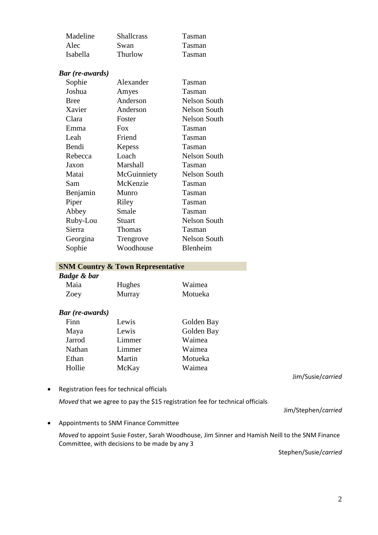| Madeline | <b>Shallcrass</b> | Tasman |
|----------|-------------------|--------|
| Alec     | Swan              | Tasman |
| Isabella | Thurlow           | Tasman |

### *Bar (re-awards)*

| Sophie      | Alexander     | Tasman        |
|-------------|---------------|---------------|
| Joshua      | Amyes         | <b>Tasman</b> |
| <b>Bree</b> | Anderson      | Nelson South  |
| Xavier      | Anderson      | Nelson South  |
| Clara       | Foster        | Nelson South  |
| Emma        | <b>Fox</b>    | <b>Tasman</b> |
| Leah        | Friend        | Tasman        |
| Bendi       | Kepess        | <b>Tasman</b> |
| Rebecca     | Loach         | Nelson South  |
| Jaxon       | Marshall      | Tasman        |
| Matai       | McGuinniety   | Nelson South  |
| Sam         | McKenzie      | Tasman        |
| Benjamin    | Munro         | Tasman        |
| Piper       | Riley         | Tasman        |
| Abbey       | Smale         | Tasman        |
| Ruby-Lou    | Stuart        | Nelson South  |
| Sierra      | <b>Thomas</b> | Tasman        |
| Georgina    | Trengrove     | Nelson South  |
| Sophie      | Woodhouse     | Blenheim      |

#### **SNM Country & Town Representative**

| Badge & bar |        |         |  |
|-------------|--------|---------|--|
| Maia        | Hughes | Waimea  |  |
| Zoey        | Murray | Motueka |  |

### *Bar (re-awards)*

| Finn   | Lewis  | Golden Bay |
|--------|--------|------------|
| Maya   | Lewis  | Golden Bay |
| Jarrod | Limmer | Waimea     |
| Nathan | Limmer | Waimea     |
| Ethan  | Martin | Motueka    |
| Hollie | McKay  | Waimea     |

Registration fees for technical officials

*Moved* that we agree to pay the \$15 registration fee for technical officials

Appointments to SNM Finance Committee

*Moved* to appoint Susie Foster, Sarah Woodhouse, Jim Sinner and Hamish Neill to the SNM Finance Committee, with decisions to be made by any 3

Stephen/Susie/*carried*

Jim/Susie/*carried*

Jim/Stephen/*carried*

2